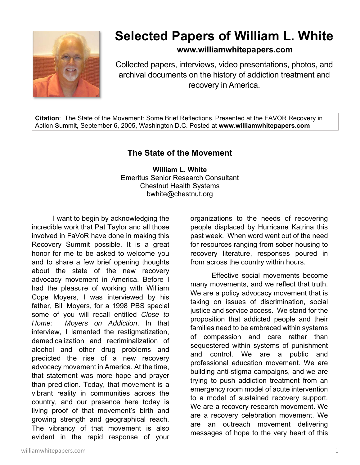

## **Selected Papers of William L. White**

**www.williamwhitepapers.com**

Collected papers, interviews, video presentations, photos, and archival documents on the history of addiction treatment and recovery in America.

**Citation**: The State of the Movement: Some Brief Reflections. Presented at the FAVOR Recovery in Action Summit, September 6, 2005, Washington D.C. Posted at **www.williamwhitepapers.com** 

## **The State of the Movement**

**William L. White**  Emeritus Senior Research Consultant Chestnut Health Systems bwhite@chestnut.org

I want to begin by acknowledging the incredible work that Pat Taylor and all those involved in FaVoR have done in making this Recovery Summit possible. It is a great honor for me to be asked to welcome you and to share a few brief opening thoughts about the state of the new recovery advocacy movement in America. Before I had the pleasure of working with William Cope Moyers, I was interviewed by his father, Bill Moyers, for a 1998 PBS special some of you will recall entitled *Close to Home: Moyers on Addiction*. In that interview, I lamented the restigmatization, demedicalization and recriminalization of alcohol and other drug problems and predicted the rise of a new recovery advocacy movement in America. At the time, that statement was more hope and prayer than prediction. Today, that movement is a vibrant reality in communities across the country, and our presence here today is living proof of that movement's birth and growing strength and geographical reach. The vibrancy of that movement is also evident in the rapid response of your

organizations to the needs of recovering people displaced by Hurricane Katrina this past week. When word went out of the need for resources ranging from sober housing to recovery literature, responses poured in from across the country within hours.

 Effective social movements become many movements, and we reflect that truth. We are a policy advocacy movement that is taking on issues of discrimination, social justice and service access. We stand for the proposition that addicted people and their families need to be embraced within systems of compassion and care rather than sequestered within systems of punishment and control. We are a public and professional education movement. We are building anti-stigma campaigns, and we are trying to push addiction treatment from an emergency room model of acute intervention to a model of sustained recovery support. We are a recovery research movement. We are a recovery celebration movement. We are an outreach movement delivering messages of hope to the very heart of this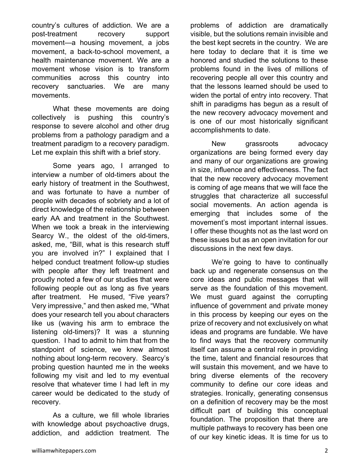country's cultures of addiction. We are a post-treatment recovery support movement—a housing movement, a jobs movement, a back-to-school movement, a health maintenance movement. We are a movement whose vision is to transform communities across this country into recovery sanctuaries. We are many movements.

 What these movements are doing collectively is pushing this country's response to severe alcohol and other drug problems from a pathology paradigm and a treatment paradigm to a recovery paradigm. Let me explain this shift with a brief story.

Some years ago, I arranged to interview a number of old-timers about the early history of treatment in the Southwest, and was fortunate to have a number of people with decades of sobriety and a lot of direct knowledge of the relationship between early AA and treatment in the Southwest. When we took a break in the interviewing Searcy W., the oldest of the old-timers, asked, me, "Bill, what is this research stuff you are involved in?" I explained that I helped conduct treatment follow-up studies with people after they left treatment and proudly noted a few of our studies that were following people out as long as five years after treatment. He mused, "Five years? Very impressive," and then asked me, "What does your research tell you about characters like us (waving his arm to embrace the listening old-timers)? It was a stunning question. I had to admit to him that from the standpoint of science, we knew almost nothing about long-term recovery. Searcy's probing question haunted me in the weeks following my visit and led to my eventual resolve that whatever time I had left in my career would be dedicated to the study of recovery.

As a culture, we fill whole libraries with knowledge about psychoactive drugs, addiction, and addiction treatment. The

problems of addiction are dramatically visible, but the solutions remain invisible and the best kept secrets in the country. We are here today to declare that it is time we honored and studied the solutions to these problems found in the lives of millions of recovering people all over this country and that the lessons learned should be used to widen the portal of entry into recovery. That shift in paradigms has begun as a result of the new recovery advocacy movement and is one of our most historically significant accomplishments to date.

 New grassroots advocacy organizations are being formed every day and many of our organizations are growing in size, influence and effectiveness. The fact that the new recovery advocacy movement is coming of age means that we will face the struggles that characterize all successful social movements. An action agenda is emerging that includes some of the movement's most important internal issues. I offer these thoughts not as the last word on these issues but as an open invitation for our discussions in the next few days.

 We're going to have to continually back up and regenerate consensus on the core ideas and public messages that will serve as the foundation of this movement. We must guard against the corrupting influence of government and private money in this process by keeping our eyes on the prize of recovery and not exclusively on what ideas and programs are fundable. We have to find ways that the recovery community itself can assume a central role in providing the time, talent and financial resources that will sustain this movement, and we have to bring diverse elements of the recovery community to define our core ideas and strategies. Ironically, generating consensus on a definition of recovery may be the most difficult part of building this conceptual foundation. The proposition that there are multiple pathways to recovery has been one of our key kinetic ideas. It is time for us to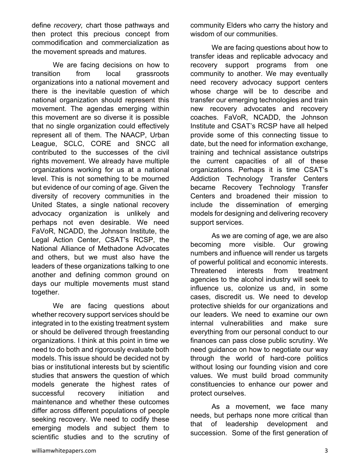define *recovery,* chart those pathways and then protect this precious concept from commodification and commercialization as the movement spreads and matures.

We are facing decisions on how to transition from local grassroots organizations into a national movement and there is the inevitable question of which national organization should represent this movement. The agendas emerging within this movement are so diverse it is possible that no single organization could effectively represent all of them. The NAACP, Urban League, SCLC, CORE and SNCC all contributed to the successes of the civil rights movement. We already have multiple organizations working for us at a national level. This is not something to be mourned but evidence of our coming of age. Given the diversity of recovery communities in the United States, a single national recovery advocacy organization is unlikely and perhaps not even desirable. We need FaVoR, NCADD, the Johnson Institute, the Legal Action Center, CSAT's RCSP, the National Alliance of Methadone Advocates and others, but we must also have the leaders of these organizations talking to one another and defining common ground on days our multiple movements must stand together.

 We are facing questions about whether recovery support services should be integrated in to the existing treatment system or should be delivered through freestanding organizations. I think at this point in time we need to do both and rigorously evaluate both models. This issue should be decided not by bias or institutional interests but by scientific studies that answers the question of which models generate the highest rates of successful recovery initiation and maintenance and whether these outcomes differ across different populations of people seeking recovery. We need to codify these emerging models and subject them to scientific studies and to the scrutiny of community Elders who carry the history and wisdom of our communities.

 We are facing questions about how to transfer ideas and replicable advocacy and recovery support programs from one community to another. We may eventually need recovery advocacy support centers whose charge will be to describe and transfer our emerging technologies and train new recovery advocates and recovery coaches. FaVoR, NCADD, the Johnson Institute and CSAT's RCSP have all helped provide some of this connecting tissue to date, but the need for information exchange, training and technical assistance outstrips the current capacities of all of these organizations. Perhaps it is time CSAT's Addiction Technology Transfer Centers became Recovery Technology Transfer Centers and broadened their mission to include the dissemination of emerging models for designing and delivering recovery support services.

 As we are coming of age, we are also becoming more visible. Our growing numbers and influence will render us targets of powerful political and economic interests. Threatened interests from treatment agencies to the alcohol industry will seek to influence us, colonize us and, in some cases, discredit us. We need to develop protective shields for our organizations and our leaders. We need to examine our own internal vulnerabilities and make sure everything from our personal conduct to our finances can pass close public scrutiny. We need guidance on how to negotiate our way through the world of hard-core politics without losing our founding vision and core values. We must build broad community constituencies to enhance our power and protect ourselves.

 As a movement, we face many needs, but perhaps none more critical than that of leadership development and succession. Some of the first generation of